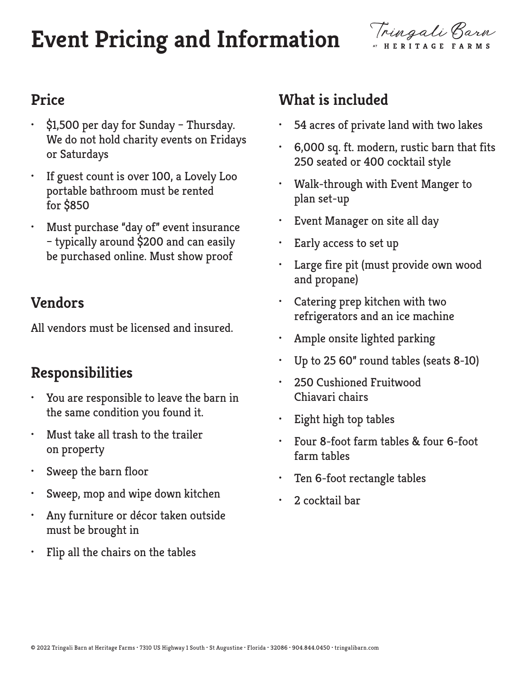# **Event Pricing and Information**



#### **Price**

- \$1,500 per day for Sunday Thursday. We do not hold charity events on Fridays or Saturdays
- If guest count is over 100, a Lovely Loo portable bathroom must be rented for \$850
- Must purchase "day of" event insurance – typically around \$200 and can easily be purchased online. Must show proof

#### **Vendors**

All vendors must be licensed and insured.

#### **Responsibilities**

- You are responsible to leave the barn in the same condition you found it.
- Must take all trash to the trailer on property
- Sweep the barn floor
- Sweep, mop and wipe down kitchen
- Any furniture or décor taken outside must be brought in
- Flip all the chairs on the tables

### **What is included**

- 54 acres of private land with two lakes
- 6,000 sq. ft. modern, rustic barn that fits 250 seated or 400 cocktail style
- Walk-through with Event Manger to plan set-up
- Event Manager on site all day
- Early access to set up
- Large fire pit (must provide own wood and propane)
- Catering prep kitchen with two refrigerators and an ice machine
- Ample onsite lighted parking
- Up to 25 60" round tables (seats 8-10)
- 250 Cushioned Fruitwood Chiavari chairs
- Eight high top tables
- Four 8-foot farm tables & four 6-foot farm tables
- Ten 6-foot rectangle tables
- 2 cocktail bar